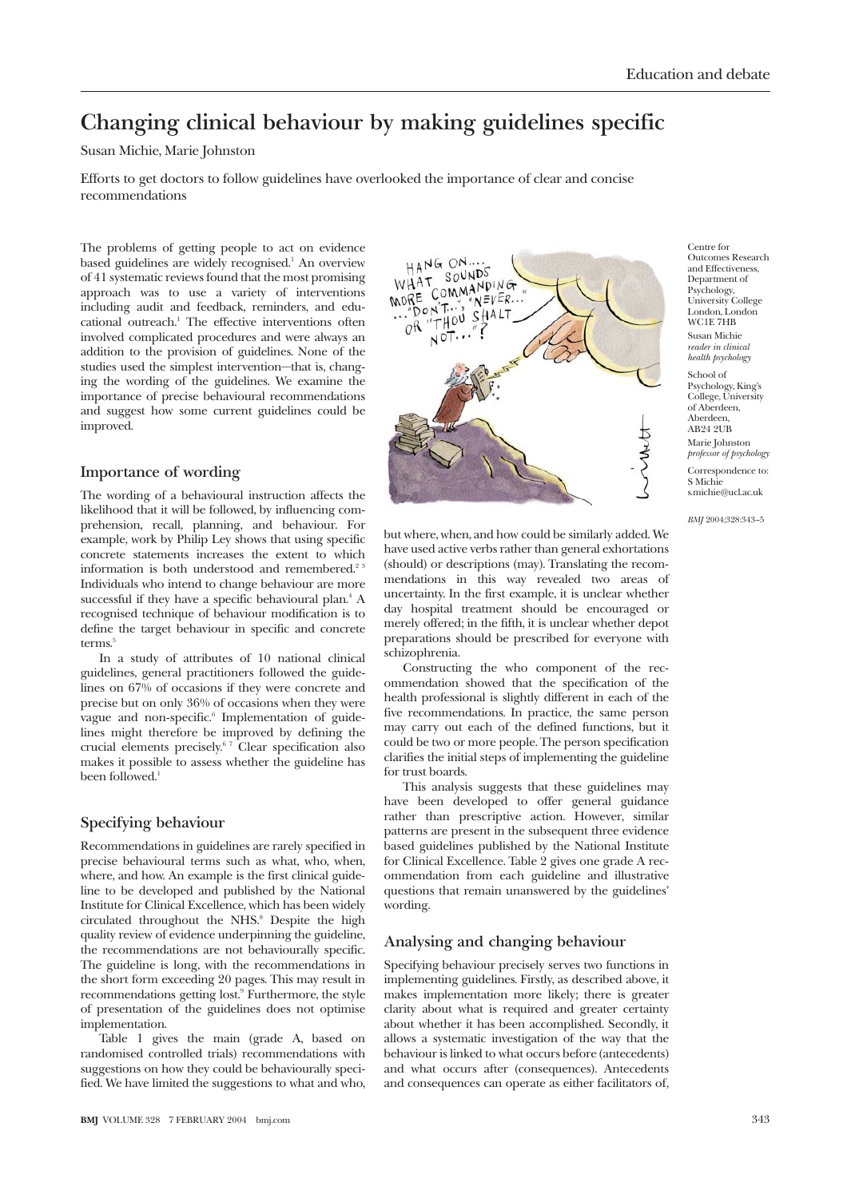## **Changing clinical behaviour by making guidelines specific**

### Susan Michie, Marie Johnston

Efforts to get doctors to follow guidelines have overlooked the importance of clear and concise recommendations

The problems of getting people to act on evidence based guidelines are widely recognised.<sup>1</sup> An overview of 41 systematic reviews found that the most promising approach was to use a variety of interventions including audit and feedback, reminders, and educational outreach.<sup>1</sup> The effective interventions often involved complicated procedures and were always an addition to the provision of guidelines. None of the studies used the simplest intervention—that is, changing the wording of the guidelines. We examine the importance of precise behavioural recommendations and suggest how some current guidelines could be improved.

# HANG ON ... SOUNDS WHAT SOUNDS<br>MORE COMMANDING NORE COMMANDING<br>
COMMANDING<br>
COR "THOU SHALT<br>
OR "NOT..."?  $N EVER...$

**Importance of wording**

The wording of a behavioural instruction affects the likelihood that it will be followed, by influencing comprehension, recall, planning, and behaviour. For example, work by Philip Ley shows that using specific concrete statements increases the extent to which information is both understood and remembered.<sup>23</sup> Individuals who intend to change behaviour are more successful if they have a specific behavioural plan.<sup>4</sup> A recognised technique of behaviour modification is to define the target behaviour in specific and concrete terms.<sup>5</sup>

In a study of attributes of 10 national clinical guidelines, general practitioners followed the guidelines on 67% of occasions if they were concrete and precise but on only 36% of occasions when they were vague and non-specific.<sup>6</sup> Implementation of guidelines might therefore be improved by defining the crucial elements precisely.6 7 Clear specification also makes it possible to assess whether the guideline has been followed.<sup>1</sup>

### **Specifying behaviour**

Recommendations in guidelines are rarely specified in precise behavioural terms such as what, who, when, where, and how. An example is the first clinical guideline to be developed and published by the National Institute for Clinical Excellence, which has been widely circulated throughout the NHS.<sup>8</sup> Despite the high quality review of evidence underpinning the guideline, the recommendations are not behaviourally specific. The guideline is long, with the recommendations in the short form exceeding 20 pages. This may result in recommendations getting lost.9 Furthermore, the style of presentation of the guidelines does not optimise implementation.

Table 1 gives the main (grade A, based on randomised controlled trials) recommendations with suggestions on how they could be behaviourally specified. We have limited the suggestions to what and who, but where, when, and how could be similarly added. We have used active verbs rather than general exhortations (should) or descriptions (may). Translating the recommendations in this way revealed two areas of uncertainty. In the first example, it is unclear whether day hospital treatment should be encouraged or merely offered; in the fifth, it is unclear whether depot preparations should be prescribed for everyone with schizophrenia.

Constructing the who component of the recommendation showed that the specification of the health professional is slightly different in each of the five recommendations. In practice, the same person may carry out each of the defined functions, but it could be two or more people. The person specification clarifies the initial steps of implementing the guideline for trust boards.

This analysis suggests that these guidelines may have been developed to offer general guidance rather than prescriptive action. However, similar patterns are present in the subsequent three evidence based guidelines published by the National Institute for Clinical Excellence. Table 2 gives one grade A recommendation from each guideline and illustrative questions that remain unanswered by the guidelines' wording.

### **Analysing and changing behaviour**

Specifying behaviour precisely serves two functions in implementing guidelines. Firstly, as described above, it makes implementation more likely; there is greater clarity about what is required and greater certainty about whether it has been accomplished. Secondly, it allows a systematic investigation of the way that the behaviour is linked to what occurs before (antecedents) and what occurs after (consequences). Antecedents and consequences can operate as either facilitators of,

Centre for Outcomes Research and Effectiveness, Department of Psychology, University College London, London WC1E 7HB Susan Michie *reader in clinical health psychology*

School of Psychology, King's College, University of Aberdeen, Aberdeen AB24 2UB Marie Johnston *professor of psychology* Correspondence to: S Michie s.michie@ucl.ac.uk

*BMJ* 2004;328:343–5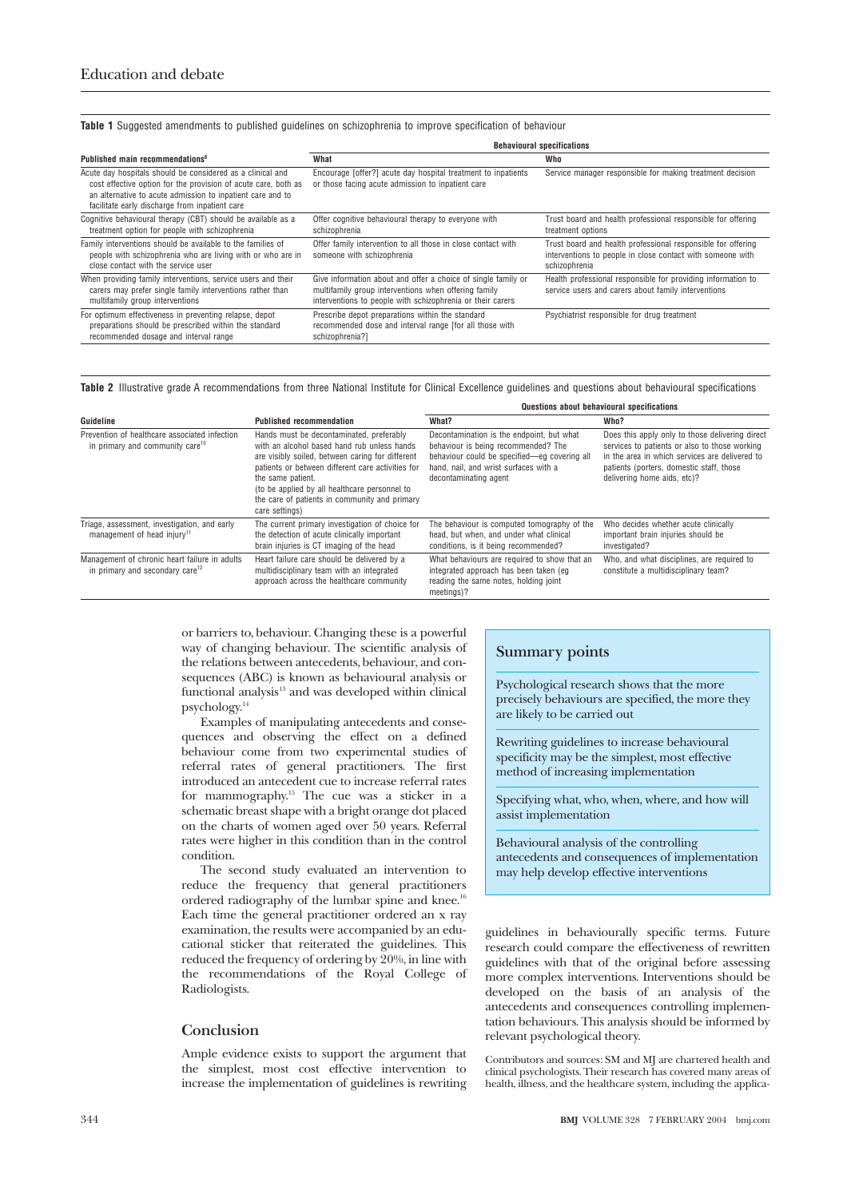**Table 1** Suggested amendments to published guidelines on schizophrenia to improve specification of behaviour

|                                                                                                                                                                                                                                              | <b>Behavioural specifications</b>                                                                                                                                                   |                                                                                                                                             |  |
|----------------------------------------------------------------------------------------------------------------------------------------------------------------------------------------------------------------------------------------------|-------------------------------------------------------------------------------------------------------------------------------------------------------------------------------------|---------------------------------------------------------------------------------------------------------------------------------------------|--|
| Published main recommendations <sup>8</sup>                                                                                                                                                                                                  | What                                                                                                                                                                                | Who                                                                                                                                         |  |
| Acute day hospitals should be considered as a clinical and<br>cost effective option for the provision of acute care, both as<br>an alternative to acute admission to inpatient care and to<br>facilitate early discharge from inpatient care | Encourage [offer?] acute day hospital treatment to inpatients<br>or those facing acute admission to inpatient care                                                                  | Service manager responsible for making treatment decision                                                                                   |  |
| Cognitive behavioural therapy (CBT) should be available as a<br>treatment option for people with schizophrenia                                                                                                                               | Offer cognitive behavioural therapy to everyone with<br>schizophrenia                                                                                                               | Trust board and health professional responsible for offering<br>treatment options                                                           |  |
| Family interventions should be available to the families of<br>people with schizophrenia who are living with or who are in<br>close contact with the service user                                                                            | Offer family intervention to all those in close contact with<br>someone with schizophrenia                                                                                          | Trust board and health professional responsible for offering<br>interventions to people in close contact with someone with<br>schizophrenia |  |
| When providing family interventions, service users and their<br>carers may prefer single family interventions rather than<br>multifamily group interventions                                                                                 | Give information about and offer a choice of single family or<br>multifamily group interventions when offering family<br>interventions to people with schizophrenia or their carers | Health professional responsible for providing information to<br>service users and carers about family interventions                         |  |
| For optimum effectiveness in preventing relapse, depot<br>preparations should be prescribed within the standard<br>recommended dosage and interval range                                                                                     | Prescribe depot preparations within the standard<br>recommended dose and interval range [for all those with<br>schizophrenia?]                                                      | Psychiatrist responsible for drug treatment                                                                                                 |  |

**Table 2** Illustrative grade A recommendations from three National Institute for Clinical Excellence guidelines and questions about behavioural specifications

|                                                                                              | <b>Published recommendation</b>                                                                                                                                                                                                                                                                                                           | Questions about behavioural specifications                                                                                                                                                         |                                                                                                                                                                                                                               |
|----------------------------------------------------------------------------------------------|-------------------------------------------------------------------------------------------------------------------------------------------------------------------------------------------------------------------------------------------------------------------------------------------------------------------------------------------|----------------------------------------------------------------------------------------------------------------------------------------------------------------------------------------------------|-------------------------------------------------------------------------------------------------------------------------------------------------------------------------------------------------------------------------------|
| Guideline                                                                                    |                                                                                                                                                                                                                                                                                                                                           | What?                                                                                                                                                                                              | Who?                                                                                                                                                                                                                          |
| Prevention of healthcare associated infection<br>in primary and community care <sup>10</sup> | Hands must be decontaminated, preferably<br>with an alcohol based hand rub unless hands<br>are visibly soiled, between caring for different<br>patients or between different care activities for<br>the same patient.<br>(to be applied by all healthcare personnel to<br>the care of patients in community and primary<br>care settings) | Decontamination is the endpoint, but what<br>behaviour is being recommended? The<br>behaviour could be specified-eq covering all<br>hand, nail, and wrist surfaces with a<br>decontaminating agent | Does this apply only to those delivering direct<br>services to patients or also to those working<br>in the area in which services are delivered to<br>patients (porters, domestic staff, those<br>delivering home aids, etc)? |
| Triage, assessment, investigation, and early<br>management of head injury <sup>11</sup>      | The current primary investigation of choice for<br>the detection of acute clinically important<br>brain injuries is CT imaging of the head                                                                                                                                                                                                | The behaviour is computed tomography of the<br>head, but when, and under what clinical<br>conditions, is it being recommended?                                                                     | Who decides whether acute clinically<br>important brain injuries should be<br>investigated?                                                                                                                                   |
| Management of chronic heart failure in adults<br>in primary and secondary care <sup>12</sup> | Heart failure care should be delivered by a<br>multidisciplinary team with an integrated<br>approach across the healthcare community                                                                                                                                                                                                      | What behaviours are required to show that an<br>integrated approach has been taken (eg<br>reading the same notes, holding joint<br>meetings)?                                                      | Who, and what disciplines, are required to<br>constitute a multidisciplinary team?                                                                                                                                            |

or barriers to, behaviour. Changing these is a powerful way of changing behaviour. The scientific analysis of the relations between antecedents, behaviour, and consequences (ABC) is known as behavioural analysis or functional analysis<sup>13</sup> and was developed within clinical psychology.14

Examples of manipulating antecedents and consequences and observing the effect on a defined behaviour come from two experimental studies of referral rates of general practitioners. The first introduced an antecedent cue to increase referral rates for mammography.15 The cue was a sticker in a schematic breast shape with a bright orange dot placed on the charts of women aged over 50 years. Referral rates were higher in this condition than in the control condition.

The second study evaluated an intervention to reduce the frequency that general practitioners ordered radiography of the lumbar spine and knee.<sup>16</sup> Each time the general practitioner ordered an x ray examination, the results were accompanied by an educational sticker that reiterated the guidelines. This reduced the frequency of ordering by 20%, in line with the recommendations of the Royal College of Radiologists.

#### **Conclusion**

Ample evidence exists to support the argument that the simplest, most cost effective intervention to increase the implementation of guidelines is rewriting

#### **Summary points**

Psychological research shows that the more precisely behaviours are specified, the more they are likely to be carried out

Rewriting guidelines to increase behavioural specificity may be the simplest, most effective method of increasing implementation

Specifying what, who, when, where, and how will assist implementation

Behavioural analysis of the controlling antecedents and consequences of implementation may help develop effective interventions

guidelines in behaviourally specific terms. Future research could compare the effectiveness of rewritten guidelines with that of the original before assessing more complex interventions. Interventions should be developed on the basis of an analysis of the antecedents and consequences controlling implementation behaviours. This analysis should be informed by relevant psychological theory.

Contributors and sources: SM and MJ are chartered health and clinical psychologists. Their research has covered many areas of health, illness, and the healthcare system, including the applica